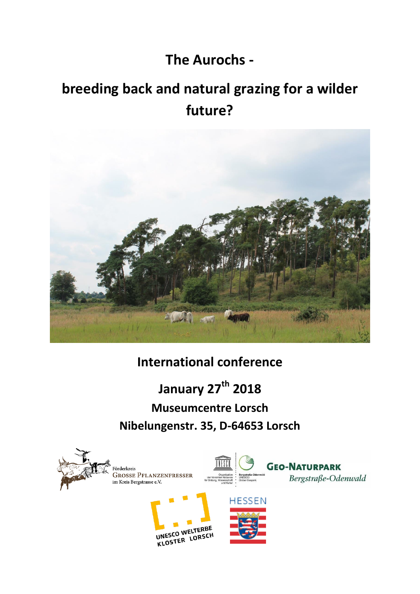# **The Aurochs -**

# **breeding back and natural grazing for a wilder future?**



**International conference**

**January 27th 2018 Museumcentre Lorsch Nibelungenstr. 35, D-64653 Lorsch** 

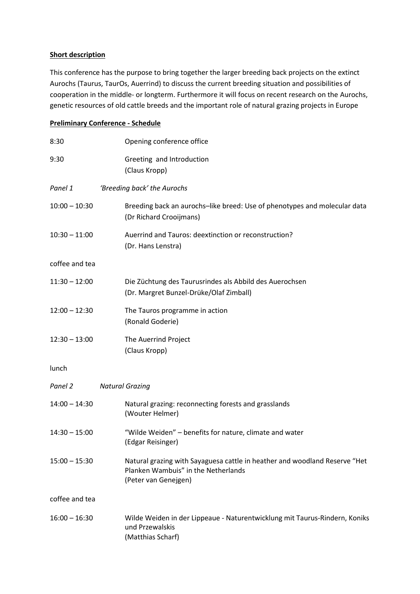## **Short description**

This conference has the purpose to bring together the larger breeding back projects on the extinct Aurochs (Taurus, TaurOs, Auerrind) to discuss the current breeding situation and possibilities of cooperation in the middle- or longterm. Furthermore it will focus on recent research on the Aurochs, genetic resources of old cattle breeds and the important role of natural grazing projects in Europe

# **Preliminary Conference - Schedule**

| 8:30            | Opening conference office                                                                                                                 |
|-----------------|-------------------------------------------------------------------------------------------------------------------------------------------|
| 9:30            | Greeting and Introduction<br>(Claus Kropp)                                                                                                |
| Panel 1         | 'Breeding back' the Aurochs                                                                                                               |
| $10:00 - 10:30$ | Breeding back an aurochs-like breed: Use of phenotypes and molecular data<br>(Dr Richard Crooijmans)                                      |
| $10:30 - 11:00$ | Auerrind and Tauros: deextinction or reconstruction?<br>(Dr. Hans Lenstra)                                                                |
| coffee and tea  |                                                                                                                                           |
| $11:30 - 12:00$ | Die Züchtung des Taurusrindes als Abbild des Auerochsen<br>(Dr. Margret Bunzel-Drüke/Olaf Zimball)                                        |
| $12:00 - 12:30$ | The Tauros programme in action<br>(Ronald Goderie)                                                                                        |
| $12:30 - 13:00$ | The Auerrind Project<br>(Claus Kropp)                                                                                                     |
| lunch           |                                                                                                                                           |
| Panel 2         | <b>Natural Grazing</b>                                                                                                                    |
| $14:00 - 14:30$ | Natural grazing: reconnecting forests and grasslands<br>(Wouter Helmer)                                                                   |
| $14:30 - 15:00$ | "Wilde Weiden" - benefits for nature, climate and water<br>(Edgar Reisinger)                                                              |
| $15:00 - 15:30$ | Natural grazing with Sayaguesa cattle in heather and woodland Reserve "Het<br>Planken Wambuis" in the Netherlands<br>(Peter van Genejgen) |
| coffee and tea  |                                                                                                                                           |
| $16:00 - 16:30$ | Wilde Weiden in der Lippeaue - Naturentwicklung mit Taurus-Rindern, Koniks<br>und Przewalskis<br>(Matthias Scharf)                        |